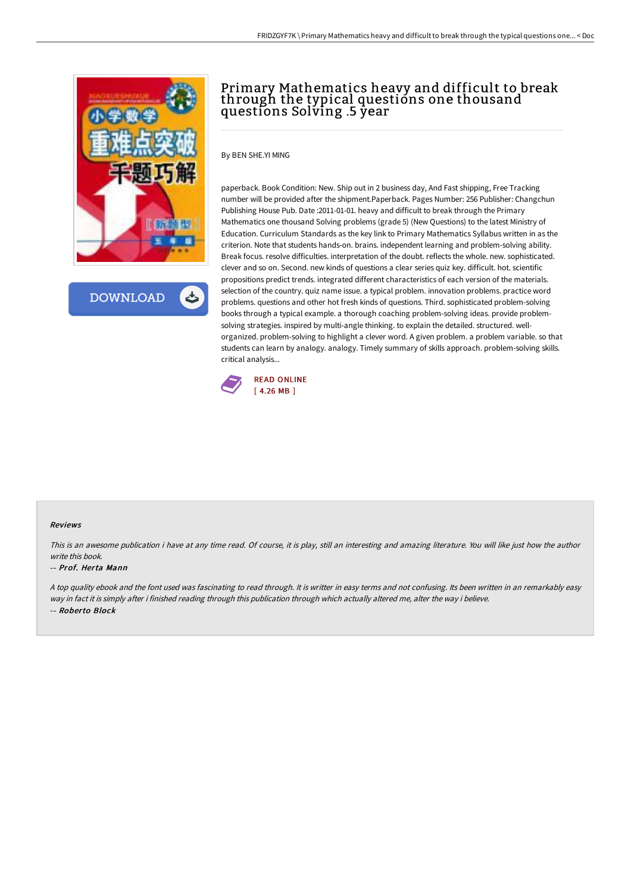

**DOWNLOAD** 

# Primary Mathematics heavy and difficult to break through the typical questions one thousand questions Solving .5 year

By BEN SHE.YI MING

paperback. Book Condition: New. Ship out in 2 business day, And Fast shipping, Free Tracking number will be provided after the shipment.Paperback. Pages Number: 256 Publisher: Changchun Publishing House Pub. Date :2011-01-01. heavy and difficult to break through the Primary Mathematics one thousand Solving problems (grade 5) (New Questions) to the latest Ministry of Education. Curriculum Standards as the key link to Primary Mathematics Syllabus written in as the criterion. Note that students hands-on. brains. independent learning and problem-solving ability. Break focus. resolve difficulties. interpretation of the doubt. reflects the whole. new. sophisticated. clever and so on. Second. new kinds of questions a clear series quiz key. difficult. hot. scientific propositions predict trends. integrated different characteristics of each version of the materials. selection of the country. quiz name issue. a typical problem. innovation problems. practice word problems. questions and other hot fresh kinds of questions. Third. sophisticated problem-solving books through a typical example. a thorough coaching problem-solving ideas. provide problemsolving strategies. inspired by multi-angle thinking. to explain the detailed. structured. wellorganized. problem-solving to highlight a clever word. A given problem. a problem variable. so that students can learn by analogy. analogy. Timely summary of skills approach. problem-solving skills. critical analysis...



#### Reviews

This is an awesome publication i have at any time read. Of course, it is play, still an interesting and amazing literature. You will like just how the author write this book.

#### -- Prof. Herta Mann

<sup>A</sup> top quality ebook and the font used was fascinating to read through. It is writter in easy terms and not confusing. Its been written in an remarkably easy way in fact it is simply after i finished reading through this publication through which actually altered me, alter the way i believe. -- Roberto Block